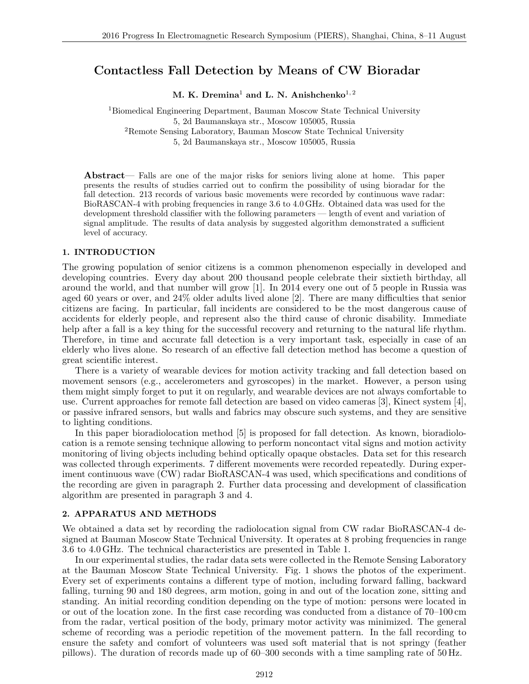# **Contactless Fall Detection by Means of CW Bioradar**

**M. K. Dremina**<sup>1</sup> **and L. N. Anishchenko**<sup>1</sup>*,* <sup>2</sup>

<sup>1</sup>Biomedical Engineering Department, Bauman Moscow State Technical University 5, 2d Baumanskaya str., Moscow 105005, Russia <sup>2</sup>Remote Sensing Laboratory, Bauman Moscow State Technical University

5, 2d Baumanskaya str., Moscow 105005, Russia

**Abstract**— Falls are one of the major risks for seniors living alone at home. This paper presents the results of studies carried out to confirm the possibility of using bioradar for the fall detection. 213 records of various basic movements were recorded by continuous wave radar: BioRASCAN-4 with probing frequencies in range 3.6 to 4.0 GHz. Obtained data was used for the development threshold classifier with the following parameters — length of event and variation of signal amplitude. The results of data analysis by suggested algorithm demonstrated a sufficient level of accuracy.

### **1. INTRODUCTION**

The growing population of senior citizens is a common phenomenon especially in developed and developing countries. Every day about 200 thousand people celebrate their sixtieth birthday, all around the world, and that number will grow [1]. In 2014 every one out of 5 people in Russia was aged 60 years or over, and 24% older adults lived alone [2]. There are many difficulties that senior citizens are facing. In particular, fall incidents are considered to be the most dangerous cause of accidents for elderly people, and represent also the third cause of chronic disability. Immediate help after a fall is a key thing for the successful recovery and returning to the natural life rhythm. Therefore, in time and accurate fall detection is a very important task, especially in case of an elderly who lives alone. So research of an effective fall detection method has become a question of great scientific interest.

There is a variety of wearable devices for motion activity tracking and fall detection based on movement sensors (e.g., accelerometers and gyroscopes) in the market. However, a person using them might simply forget to put it on regularly, and wearable devices are not always comfortable to use. Current approaches for remote fall detection are based on video cameras [3], Kinect system [4], or passive infrared sensors, but walls and fabrics may obscure such systems, and they are sensitive to lighting conditions.

In this paper bioradiolocation method [5] is proposed for fall detection. As known, bioradiolocation is a remote sensing technique allowing to perform noncontact vital signs and motion activity monitoring of living objects including behind optically opaque obstacles. Data set for this research was collected through experiments. 7 different movements were recorded repeatedly. During experiment continuous wave (CW) radar BioRASCAN-4 was used, which specifications and conditions of the recording are given in paragraph 2. Further data processing and development of classification algorithm are presented in paragraph 3 and 4.

# **2. APPARATUS AND METHODS**

We obtained a data set by recording the radiolocation signal from CW radar BioRASCAN-4 designed at Bauman Moscow State Technical University. It operates at 8 probing frequencies in range 3.6 to 4.0 GHz. The technical characteristics are presented in Table 1.

In our experimental studies, the radar data sets were collected in the Remote Sensing Laboratory at the Bauman Moscow State Technical University. Fig. 1 shows the photos of the experiment. Every set of experiments contains a different type of motion, including forward falling, backward falling, turning 90 and 180 degrees, arm motion, going in and out of the location zone, sitting and standing. An initial recording condition depending on the type of motion: persons were located in or out of the location zone. In the first case recording was conducted from a distance of 70–100 cm from the radar, vertical position of the body, primary motor activity was minimized. The general scheme of recording was a periodic repetition of the movement pattern. In the fall recording to ensure the safety and comfort of volunteers was used soft material that is not springy (feather pillows). The duration of records made up of 60–300 seconds with a time sampling rate of 50 Hz.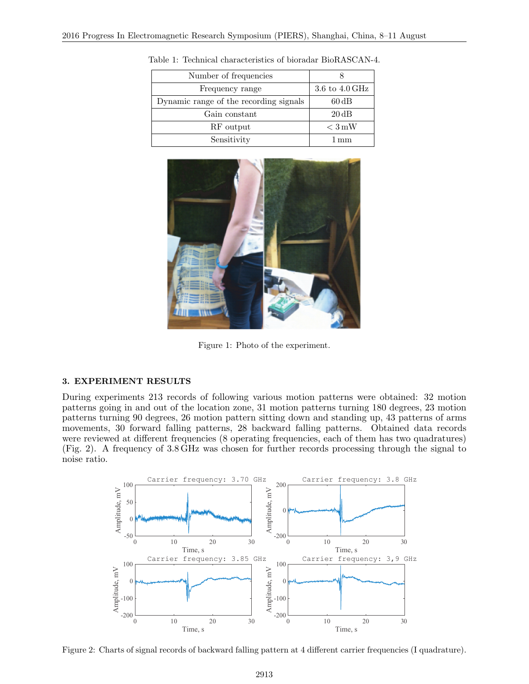| Number of frequencies                  |                   |
|----------------------------------------|-------------------|
| Frequency range                        | 3.6 to 4.0 GHz    |
| Dynamic range of the recording signals | $60\,\mathrm{dB}$ |
| Gain constant                          | $20\,\mathrm{dB}$ |
| RF output                              | $\rm < 3\,mW$     |
| Sensitivity                            | 1 mm              |

Table 1: Technical characteristics of bioradar BioRASCAN-4.



Figure 1: Photo of the experiment.

#### **3. EXPERIMENT RESULTS**

During experiments 213 records of following various motion patterns were obtained: 32 motion patterns going in and out of the location zone, 31 motion patterns turning 180 degrees, 23 motion patterns turning 90 degrees, 26 motion pattern sitting down and standing up, 43 patterns of arms movements, 30 forward falling patterns, 28 backward falling patterns. Obtained data records were reviewed at different frequencies (8 operating frequencies, each of them has two quadratures) (Fig. 2). A frequency of 3.8 GHz was chosen for further records processing through the signal to noise ratio.



Figure 2: Charts of signal records of backward falling pattern at 4 different carrier frequencies (I quadrature).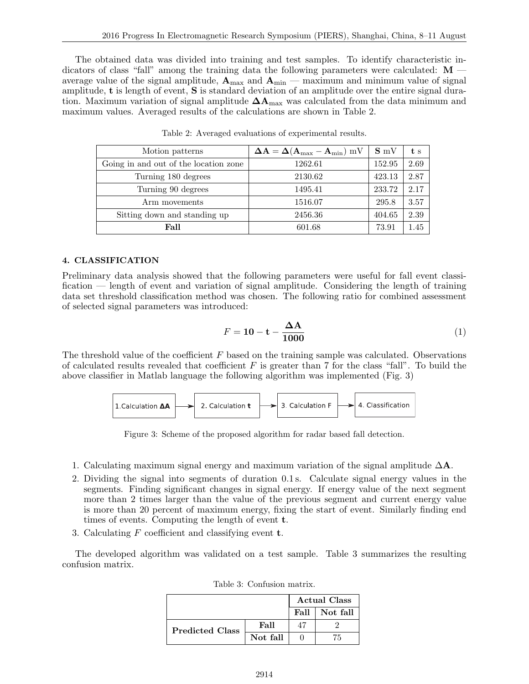The obtained data was divided into training and test samples. To identify characteristic indicators of class "fall" among the training data the following parameters were calculated: **M** average value of the signal amplitude,  $A_{\text{max}}$  and  $A_{\text{min}}$  — maximum and minimum value of signal amplitude, **t** is length of event, **S** is standard deviation of an amplitude over the entire signal duration. Maximum variation of signal amplitude **∆A**max was calculated from the data minimum and maximum values. Averaged results of the calculations are shown in Table 2.

| Motion patterns                       | $\mathbf{\Delta A} = \mathbf{\Delta}(\mathbf{A}_{\text{max}} - \mathbf{A}_{\text{min}}) \text{ mV}$ | $S_{\rm mV}$ | t s  |
|---------------------------------------|-----------------------------------------------------------------------------------------------------|--------------|------|
| Going in and out of the location zone | 1262.61                                                                                             | 152.95       | 2.69 |
| Turning 180 degrees                   | 2130.62                                                                                             | 423.13       | 2.87 |
| Turning 90 degrees                    | 1495.41                                                                                             | 233.72       | 2.17 |
| Arm movements                         | 1516.07                                                                                             | 295.8        | 3.57 |
| Sitting down and standing up          | 2456.36                                                                                             | 404.65       | 2.39 |
| Fall                                  | 601.68                                                                                              | 73.91        | 1.45 |

Table 2: Averaged evaluations of experimental results.

# **4. CLASSIFICATION**

Preliminary data analysis showed that the following parameters were useful for fall event classification — length of event and variation of signal amplitude. Considering the length of training data set threshold classification method was chosen. The following ratio for combined assessment of selected signal parameters was introduced:

$$
F = 10 - \mathbf{t} - \frac{\Delta A}{1000} \tag{1}
$$

The threshold value of the coefficient *F* based on the training sample was calculated. Observations of calculated results revealed that coefficient *F* is greater than 7 for the class "fall". To build the above classifier in Matlab language the following algorithm was implemented (Fig. 3)



Figure 3: Scheme of the proposed algorithm for radar based fall detection.

- 1. Calculating maximum signal energy and maximum variation of the signal amplitude ∆**A**.
- 2. Dividing the signal into segments of duration 0.1 s. Calculate signal energy values in the segments. Finding significant changes in signal energy. If energy value of the next segment more than 2 times larger than the value of the previous segment and current energy value is more than 20 percent of maximum energy, fixing the start of event. Similarly finding end times of events. Computing the length of event **t**.
- 3. Calculating *F* coefficient and classifying event **t**.

The developed algorithm was validated on a test sample. Table 3 summarizes the resulting confusion matrix.

|                        | <b>Actual Class</b> |      |          |
|------------------------|---------------------|------|----------|
|                        |                     | Fall | Not fall |
| <b>Predicted Class</b> | Fall                |      |          |
|                        | Not fall            |      | 75       |

| Table 3: Confusion matrix. |  |
|----------------------------|--|
|                            |  |